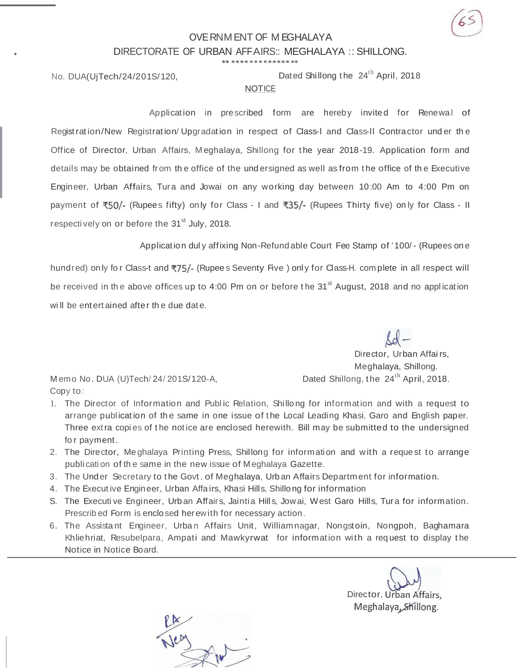# OVERNM ENT OF M EGHALAYA DIRECTORATE OF URBAN AFFAIRS:: MEGHALAYA :: SHILLONG.

**\*\* \*\*\*\* \*\*\* \*\*\*\*\*\* \*\***

•

No. DUA(UjTech/24/201S/120, Dated Shillong the 24<sup>th</sup> April, 2018

#### **NOTICE**

Application in prescribed form are hereby invited for Renewal of Registrat ion/New Registration/ Upgradat ion in respect of Class-l and Class-ll Contractor und er th e Office of Director, Urban Affairs, M eghalaya, Shillong for t he year 2018-19. Application form and details may be obtained from the office of the undersigned as well as from the office of the Executive Engineer, Urban Affairs, Tura and Jowai on any working day between 10:00 Am to 4:00 Pm on payment of  $\overline{50}/$ - (Rupees fifty) only for Class - I and  $\overline{53}/$ - (Rupees Thirty five) only for Class - II respectively on or before the  $31<sup>st</sup>$  July, 2018.

Application dul y affixing Non-Refund able Court Fee Stamp of ' 100/ - (Rupees on e

hundred) only for Class-t and ₹75/- (Rupee s Seventy Five ) only for Class-H. complete in all respect will be received in the above offices up to 4:00 Pm on or before the 31<sup>st</sup> August, 2018 and no application will be entert ained after the due date.

> Director, Urban Affai rs, Meghalaya, Shillong.

Memo No. DUA (U)Tech/ 24/ 201S/120-A,  $Dated Shillong, the 24<sup>th</sup> April, 2018.$ Copy to:

- 1. The Director of Information and Public Relation, Shillong for information and with a request to arrange publication of the same in one issue of the Local Leading Khasi, Garo and English paper. Three extra copies of the notice are enclosed herewith. Bill may be submitted to the undersigned fo r payment .
- 2. The Director, Me ghalaya Printing Press, Shillong for information and with a reque st to arrange publicati on of th e same in the new issue of M eghalaya Gazette.
- 3. The Under Secretary to t he Govt . of Meghalaya, Urb an Affairs Department for information.
- 4. The Execut ive Engineer, Urban Affa irs, Khasi Hills, Shillo ng for information
- S. The Executive Engineer, Urban Affairs, Jaintia Hills, Jowai, West Garo Hills, Tura for information. Prescrib ed Form is enclosed herewith for necessary action.
- 6. The Assistant Engineer, Urban Affairs Unit, Williamnagar, Nongstoin, Nongpoh, Baghamara Khliehriat, Resubelpara, Ampati and Mawkyrwat for information with a req uest to display t he Notice in Notice Board.

Director, Urban Affairs, Meghalaya, Shillong.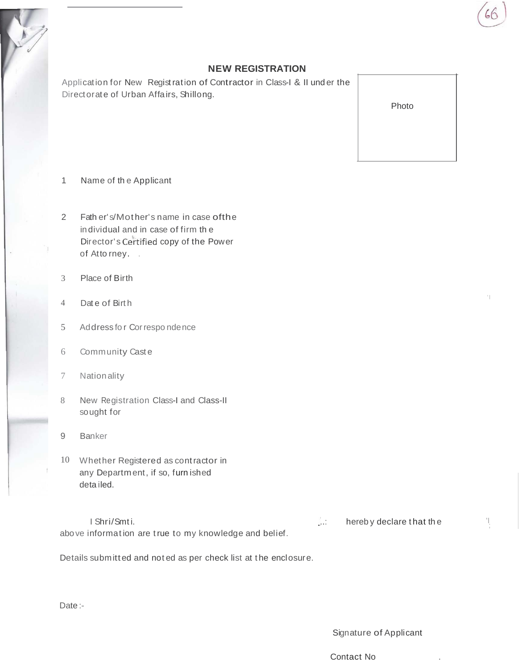#### **NEW REGISTRATION**

Application for New Registration of Contractor in Class-I & II under the Directorate of Urban Affairs, Shillong.

Photo

- Name of the Applicant  $\mathbf{1}$
- Fath er's/Mother's name in case of the  $\overline{2}$ individual and in case of firm the Director's Certified copy of the Power of Atto rney.
- $\overline{3}$ Place of Birth
- Date of Birth  $\overline{4}$
- $5<sup>5</sup>$ Address for Correspondence
- 6 Community Caste
- Nationality  $7\phantom{.}$
- 8 New Registration Class-I and Class-II sought for
- 9 **Banker**
- 10 Whether Registered as contractor in any Department, if so, furn ished detailed.

| I Shri/Smti.                                           | hereby declare that the |
|--------------------------------------------------------|-------------------------|
| above information are true to my knowledge and belief. |                         |

Details submitted and noted as per check list at the enclosure.

Date:-

Signature of Applicant

Contact No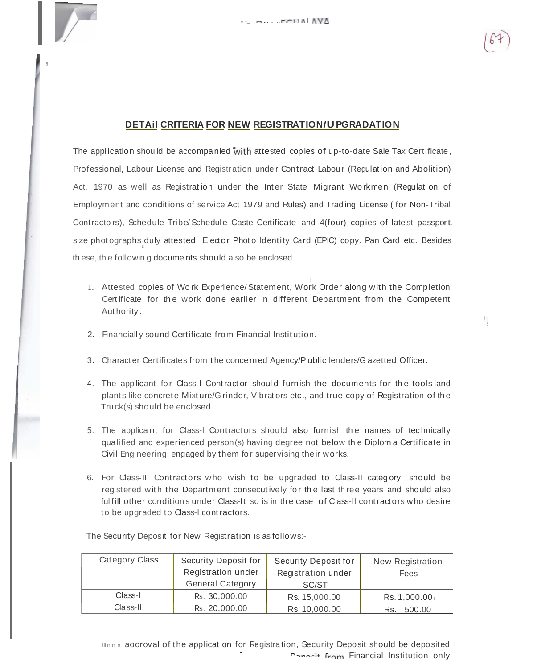

Ч

#### DETAIL CRITERIA FOR NEW REGISTRATION/U PGRADATION

The application should be accompanied with attested copies of up-to-date Sale Tax Certificate, Professional, Labour License and Registration under Contract Labour (Regulation and Abolition) Act, 1970 as well as Registration under the Inter State Migrant Workmen (Regulation of Employment and conditions of service Act 1979 and Rules) and Trading License (for Non-Tribal Contractors), Schedule Tribe/Schedule Caste Certificate and 4(four) copies of latest passport. size photographs duly attested. Elector Photo Identity Card (EPIC) copy. Pan Card etc. Besides these, the following documents should also be enclosed.

- 1. Attested copies of Work Experience/Statement, Work Order along with the Completion Certificate for the work done earlier in different Department from the Competent Authority.
- 2. Financially sound Certificate from Financial Institution.
- 3. Character Certificates from the concerned Agency/Public lenders/Gazetted Officer.
- 4. The applicant for Class-I Contractor should furnish the documents for the tools and plants like concrete Mixture/G rinder, Vibrators etc., and true copy of Registration of the Truck(s) should be enclosed.
- 5. The applicant for Class-I Contractors should also furnish the names of technically qualified and experienced person(s) having degree not below the Diplom a Certificate in Civil Engineering engaged by them for supervising their works.
- 6. For Class-III Contractors who wish to be upgraded to Class-II category, should be registered with the Department consecutively for the last three years and should also ful fill other conditions under Class-It so is in the case of Class-II contractors who desire to be upgraded to Class-I contractors.

| Category Class | Security Deposit for<br>Registration under<br><b>General Category</b> | <b>Security Deposit for</b><br>Registration under<br>SC/ST | <b>New Registration</b><br>Fees |
|----------------|-----------------------------------------------------------------------|------------------------------------------------------------|---------------------------------|
| Class-I        | Rs. 30,000.00                                                         | Rs. 15,000.00                                              | Rs. 1,000.00                    |
| Class-II       | Rs. 20,000.00                                                         | Rs. 10,000.00                                              | 500.00<br>Rs.                   |

The Security Deposit for New Registration is as follows:-

IInnn aooroval of the application for Registration, Security Deposit should be deposited **Donorit from Financial Institution only**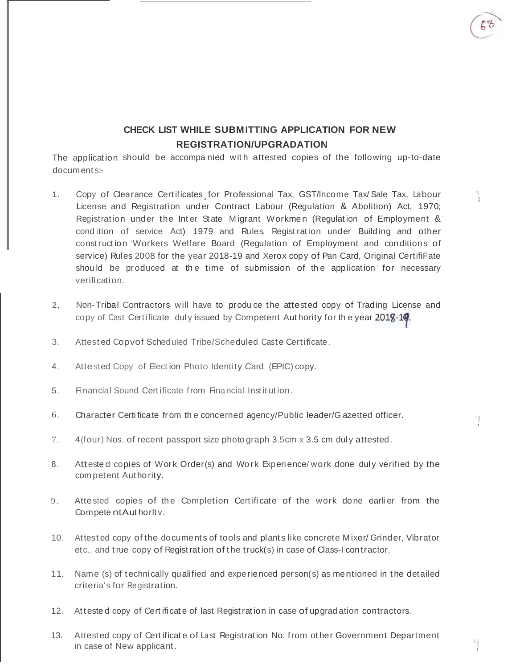$\mathbb{F}$ 

 $\mathbf{1}$ 

# CHECK LIST WHILE SUBMITTING APPLICATION FOR NEW **REGISTRATION/UPGRADATION**

The application should be accompanied with attested copies of the following up-to-date documents:-

- Copy of Clearance Certificates for Professional Tax, GST/Income Tax/Sale Tax, Labour  $1$ License and Registration under Contract Labour (Regulation & Abolition) Act, 1970; Registration under the Inter State Migrant Workmen (Regulation of Employment & condition of service Act) 1979 and Rules, Registration under Building and other construction Workers Welfare Board (Regulation of Employment and conditions of service) Rules 2008 for the year 2018-19 and Xerox copy of Pan Card, Original CertifiFate should be produced at the time of submission of the application for necessary verification.
- $2.$ Non-Tribal Contractors will have to produce the attested copy of Trading License and copy of Cast Certificate duly issued by Competent Authority for the year 2018-19.
- $3<sub>1</sub>$ Attested Copvof Scheduled Tribe/Scheduled Caste Certificate.
- $4.$ Attested Copy of Election Photo Identity Card (EPIC) copy.
- Financial Sound Certificate from Financial Institution.  $5 -$
- 6. Character Certificate from the concerned agency/Public leader/G azetted officer.
- $7<sup>1</sup>$ 4(four) Nos. of recent passport size photograph 3.5cm x 3.5 cm duly attested.
- 8. Attested copies of Work Order(s) and Work Experience/work done duly verified by the competent Authority.
- 9. Attested copies of the Completion Certificate of the work done earlier from the Competent Authority.
- 10. Attested copy of the documents of tools and plants like concrete Mixer/Grinder, Vibrator etc., and true copy of Registration of the truck(s) in case of Class-I contractor.
- 11. Name (s) of technically qualified and experienced person(s) as mentioned in the detailed criteria's for Registration.
- 12. Attested copy of Certificate of last Registration in case of upgradation contractors.
- 13. Attested copy of Certificate of Last Registration No. from other Government Department in case of New applicant.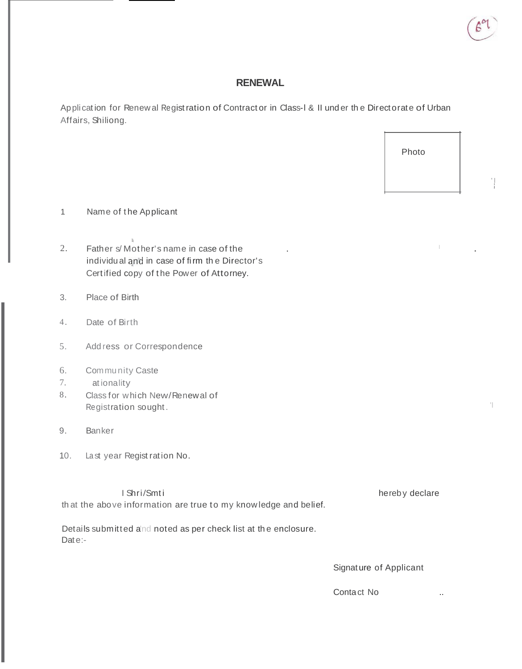

## **RENEWAL**

Application for Renewal Registration of Contractor in Class-I & II under the Directorate of Urban Affairs, Shiliong.

Photo

Ч

- Name of the Applicant  $\mathbf{1}$
- $2.$ Father s/Mother's name in case of the individual and in case of firm the Director's Certified copy of the Power of Attorney.
- Place of Birth  $3.$
- $4.$ Date of Birth
- 5. Add ress or Correspondence
- Community Caste 6.
- 7. ationality
- Class for which New/Renewal of 8. Registration sought.
- Banker 9.
- Last year Regist ration No.  $10.$

I Shri/Smti that the above information are true to my knowledge and belief.

hereby declare

Details submitted and noted as per check list at the enclosure. Date:-

Signature of Applicant

Contact No